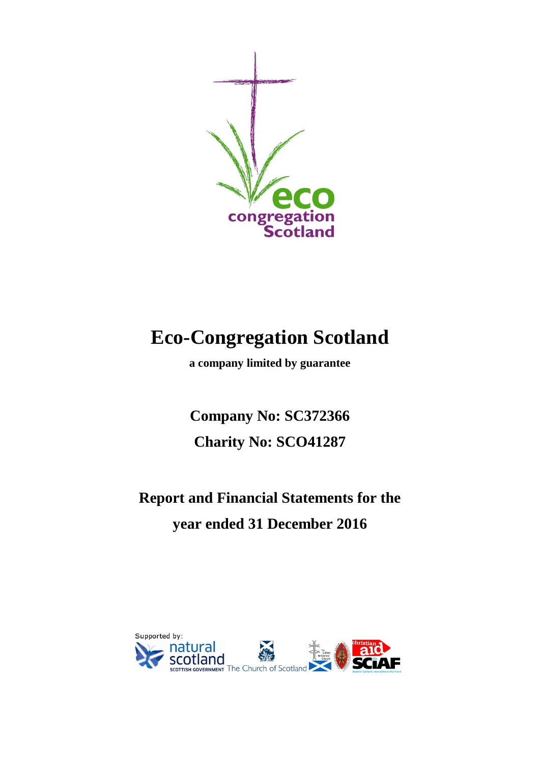

# **Eco-Congregation Scotland**

**a company limited by guarantee**

**Company No: SC372366 Charity No: SCO41287**

**Report and Financial Statements for the year ended 31 December 2016**

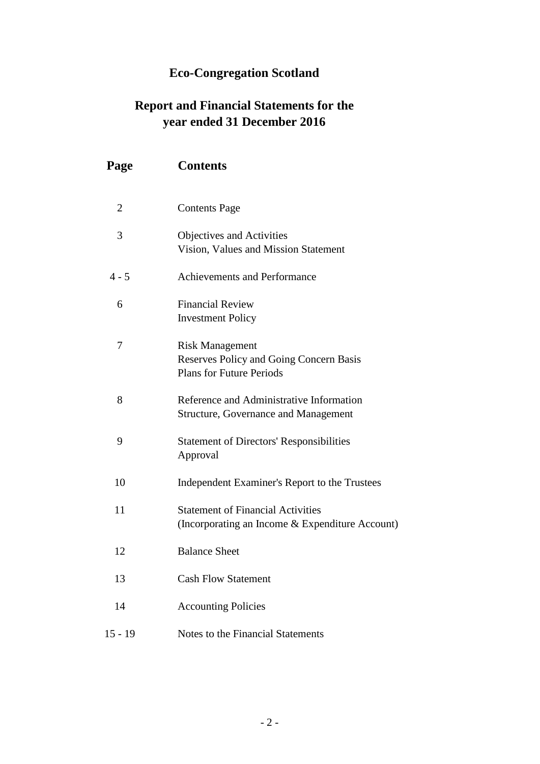## **Eco-Congregation Scotland**

## **Report and Financial Statements for the year ended 31 December 2016**

| Page           | <b>Contents</b>                                                                                      |
|----------------|------------------------------------------------------------------------------------------------------|
| $\overline{2}$ | <b>Contents Page</b>                                                                                 |
| 3              | Objectives and Activities<br>Vision, Values and Mission Statement                                    |
| $4 - 5$        | <b>Achievements and Performance</b>                                                                  |
| 6              | <b>Financial Review</b><br><b>Investment Policy</b>                                                  |
| 7              | <b>Risk Management</b><br>Reserves Policy and Going Concern Basis<br><b>Plans for Future Periods</b> |
| 8              | Reference and Administrative Information<br><b>Structure, Governance and Management</b>              |
| 9              | <b>Statement of Directors' Responsibilities</b><br>Approval                                          |
| 10             | Independent Examiner's Report to the Trustees                                                        |
| 11             | <b>Statement of Financial Activities</b><br>(Incorporating an Income & Expenditure Account)          |
| 12             | <b>Balance Sheet</b>                                                                                 |
| 13             | <b>Cash Flow Statement</b>                                                                           |
| 14             | <b>Accounting Policies</b>                                                                           |
| $15 - 19$      | Notes to the Financial Statements                                                                    |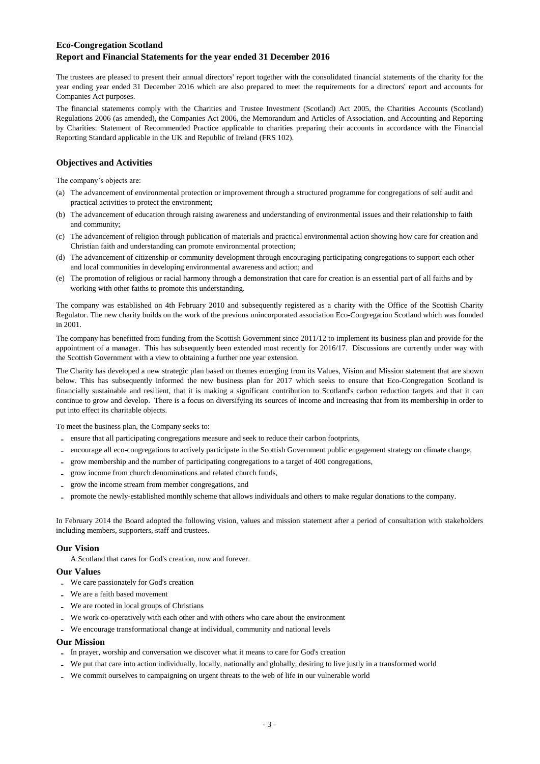The trustees are pleased to present their annual directors' report together with the consolidated financial statements of the charity for the year ending year ended 31 December 2016 which are also prepared to meet the requirements for a directors' report and accounts for Companies Act purposes.

The financial statements comply with the Charities and Trustee Investment (Scotland) Act 2005, the Charities Accounts (Scotland) Regulations 2006 (as amended), the Companies Act 2006, the Memorandum and Articles of Association, and Accounting and Reporting by Charities: Statement of Recommended Practice applicable to charities preparing their accounts in accordance with the Financial Reporting Standard applicable in the UK and Republic of Ireland (FRS 102).

#### **Objectives and Activities**

The company's objects are:

- (a) The advancement of environmental protection or improvement through a structured programme for congregations of self audit and practical activities to protect the environment;
- (b) The advancement of education through raising awareness and understanding of environmental issues and their relationship to faith and community;
- (c) The advancement of religion through publication of materials and practical environmental action showing how care for creation and Christian faith and understanding can promote environmental protection;
- (d) The advancement of citizenship or community development through encouraging participating congregations to support each other and local communities in developing environmental awareness and action; and
- (e) The promotion of religious or racial harmony through a demonstration that care for creation is an essential part of all faiths and by working with other faiths to promote this understanding.

The company was established on 4th February 2010 and subsequently registered as a charity with the Office of the Scottish Charity Regulator. The new charity builds on the work of the previous unincorporated association Eco-Congregation Scotland which was founded in 2001.

The company has benefitted from funding from the Scottish Government since 2011/12 to implement its business plan and provide for the appointment of a manager. This has subsequently been extended most recently for 2016/17. Discussions are currently under way with the Scottish Government with a view to obtaining a further one year extension.

The Charity has developed a new strategic plan based on themes emerging from its Values, Vision and Mission statement that are shown below. This has subsequently informed the new business plan for 2017 which seeks to ensure that Eco-Congregation Scotland is financially sustainable and resilient, that it is making a significant contribution to Scotland's carbon reduction targets and that it can continue to grow and develop. There is a focus on diversifying its sources of income and increasing that from its membership in order to put into effect its charitable objects.

To meet the business plan, the Company seeks to:

- **-** ensure that all participating congregations measure and seek to reduce their carbon footprints,
- **-** encourage all eco-congregations to actively participate in the Scottish Government public engagement strategy on climate change,
- **-** grow membership and the number of participating congregations to a target of 400 congregations,
- grow income from church denominations and related church funds,
- grow the income stream from member congregations, and
- promote the newly-established monthly scheme that allows individuals and others to make regular donations to the company.

In February 2014 the Board adopted the following vision, values and mission statement after a period of consultation with stakeholders including members, supporters, staff and trustees.

#### **Our Vision**

A Scotland that cares for God's creation, now and forever.

#### **Our Values**

- **-** We care passionately for God's creation
- **-** We are a faith based movement
- **-** We are rooted in local groups of Christians
- **-** We work co-operatively with each other and with others who care about the environment
- **-** We encourage transformational change at individual, community and national levels

#### **Our Mission**

- **-** In prayer, worship and conversation we discover what it means to care for God's creation
- **-** We put that care into action individually, locally, nationally and globally, desiring to live justly in a transformed world
- **-** We commit ourselves to campaigning on urgent threats to the web of life in our vulnerable world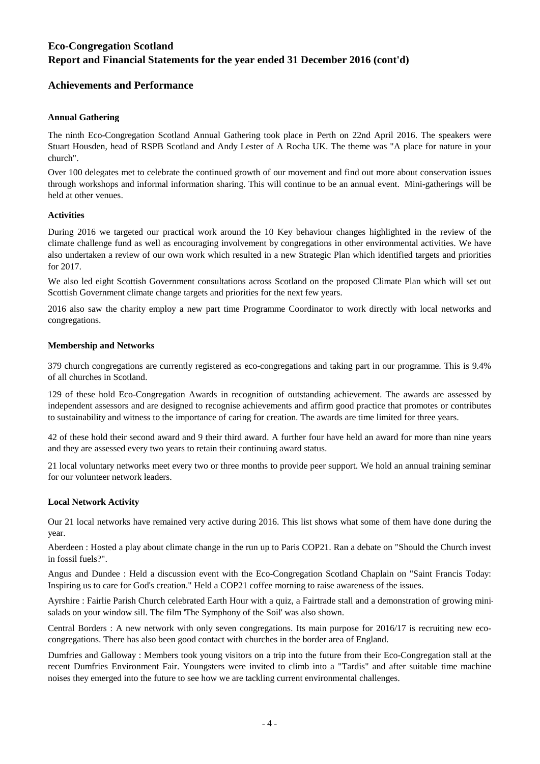### **Achievements and Performance**

#### **Annual Gathering**

The ninth Eco-Congregation Scotland Annual Gathering took place in Perth on 22nd April 2016. The speakers were Stuart Housden, head of RSPB Scotland and Andy Lester of A Rocha UK. The theme was "A place for nature in your church".

Over 100 delegates met to celebrate the continued growth of our movement and find out more about conservation issues through workshops and informal information sharing. This will continue to be an annual event. Mini-gatherings will be held at other venues.

#### **Activities**

During 2016 we targeted our practical work around the 10 Key behaviour changes highlighted in the review of the climate challenge fund as well as encouraging involvement by congregations in other environmental activities. We have also undertaken a review of our own work which resulted in a new Strategic Plan which identified targets and priorities for 2017.

We also led eight Scottish Government consultations across Scotland on the proposed Climate Plan which will set out Scottish Government climate change targets and priorities for the next few years.

2016 also saw the charity employ a new part time Programme Coordinator to work directly with local networks and congregations.

#### **Membership and Networks**

379 church congregations are currently registered as eco-congregations and taking part in our programme. This is 9.4% of all churches in Scotland.

129 of these hold Eco-Congregation Awards in recognition of outstanding achievement. The awards are assessed by independent assessors and are designed to recognise achievements and affirm good practice that promotes or contributes to sustainability and witness to the importance of caring for creation. The awards are time limited for three years.

42 of these hold their second award and 9 their third award. A further four have held an award for more than nine years and they are assessed every two years to retain their continuing award status.

21 local voluntary networks meet every two or three months to provide peer support. We hold an annual training seminar for our volunteer network leaders.

#### **Local Network Activity**

Our 21 local networks have remained very active during 2016. This list shows what some of them have done during the year.

Aberdeen : Hosted a play about climate change in the run up to Paris COP21. Ran a debate on "Should the Church invest in fossil fuels?".

Angus and Dundee : Held a discussion event with the Eco-Congregation Scotland Chaplain on "Saint Francis Today: Inspiring us to care for God's creation." Held a COP21 coffee morning to raise awareness of the issues.

Ayrshire : Fairlie Parish Church celebrated Earth Hour with a quiz, a Fairtrade stall and a demonstration of growing minisalads on your window sill. The film 'The Symphony of the Soil' was also shown.

Central Borders : A new network with only seven congregations. Its main purpose for 2016/17 is recruiting new ecocongregations. There has also been good contact with churches in the border area of England.

Dumfries and Galloway : Members took young visitors on a trip into the future from their Eco-Congregation stall at the recent Dumfries Environment Fair. Youngsters were invited to climb into a "Tardis" and after suitable time machine noises they emerged into the future to see how we are tackling current environmental challenges.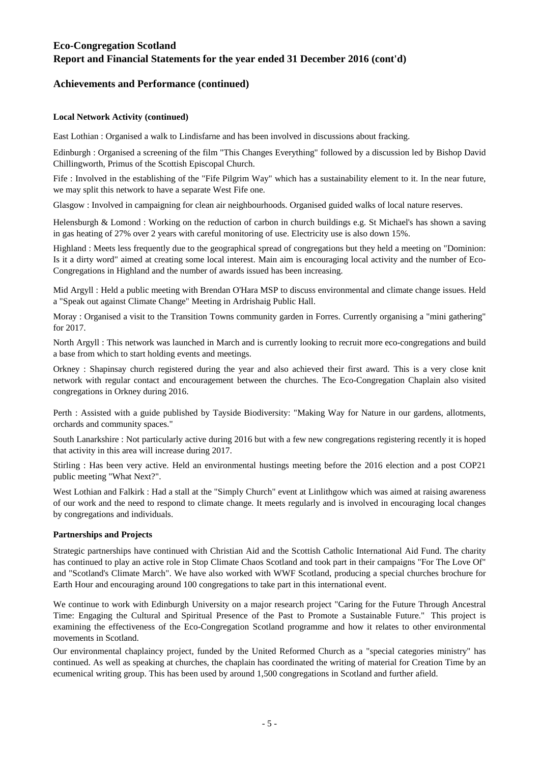### **Achievements and Performance (continued)**

#### **Local Network Activity (continued)**

East Lothian : Organised a walk to Lindisfarne and has been involved in discussions about fracking.

Edinburgh : Organised a screening of the film "This Changes Everything" followed by a discussion led by Bishop David Chillingworth, Primus of the Scottish Episcopal Church.

Fife : Involved in the establishing of the "Fife Pilgrim Way" which has a sustainability element to it. In the near future, we may split this network to have a separate West Fife one.

Glasgow : Involved in campaigning for clean air neighbourhoods. Organised guided walks of local nature reserves.

Helensburgh & Lomond : Working on the reduction of carbon in church buildings e.g. St Michael's has shown a saving in gas heating of 27% over 2 years with careful monitoring of use. Electricity use is also down 15%.

Highland : Meets less frequently due to the geographical spread of congregations but they held a meeting on "Dominion: Is it a dirty word" aimed at creating some local interest. Main aim is encouraging local activity and the number of Eco-Congregations in Highland and the number of awards issued has been increasing.

Mid Argyll : Held a public meeting with Brendan O'Hara MSP to discuss environmental and climate change issues. Held a "Speak out against Climate Change" Meeting in Ardrishaig Public Hall.

Moray : Organised a visit to the Transition Towns community garden in Forres. Currently organising a "mini gathering" for 2017.

North Argyll : This network was launched in March and is currently looking to recruit more eco-congregations and build a base from which to start holding events and meetings.

Orkney : Shapinsay church registered during the year and also achieved their first award. This is a very close knit network with regular contact and encouragement between the churches. The Eco-Congregation Chaplain also visited congregations in Orkney during 2016.

Perth : Assisted with a guide published by Tayside Biodiversity: "Making Way for Nature in our gardens, allotments, orchards and community spaces."

South Lanarkshire : Not particularly active during 2016 but with a few new congregations registering recently it is hoped that activity in this area will increase during 2017.

Stirling : Has been very active. Held an environmental hustings meeting before the 2016 election and a post COP21 public meeting "What Next?".

West Lothian and Falkirk : Had a stall at the "Simply Church" event at Linlithgow which was aimed at raising awareness of our work and the need to respond to climate change. It meets regularly and is involved in encouraging local changes by congregations and individuals.

#### **Partnerships and Projects**

Strategic partnerships have continued with Christian Aid and the Scottish Catholic International Aid Fund. The charity has continued to play an active role in Stop Climate Chaos Scotland and took part in their campaigns "For The Love Of" and "Scotland's Climate March". We have also worked with WWF Scotland, producing a special churches brochure for Earth Hour and encouraging around 100 congregations to take part in this international event.

We continue to work with Edinburgh University on a major research project "Caring for the Future Through Ancestral Time: Engaging the Cultural and Spiritual Presence of the Past to Promote a Sustainable Future." This project is examining the effectiveness of the Eco-Congregation Scotland programme and how it relates to other environmental movements in Scotland.

Our environmental chaplaincy project, funded by the United Reformed Church as a "special categories ministry" has continued. As well as speaking at churches, the chaplain has coordinated the writing of material for Creation Time by an ecumenical writing group. This has been used by around 1,500 congregations in Scotland and further afield.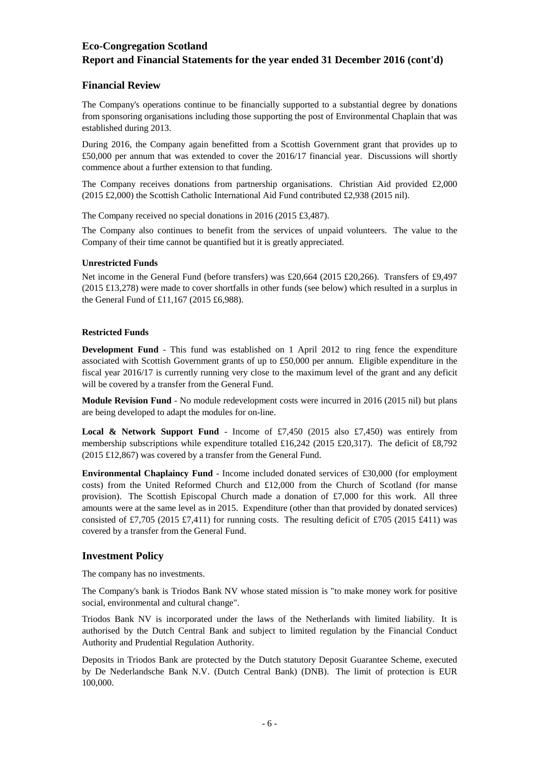### **Financial Review**

The Company's operations continue to be financially supported to a substantial degree by donations from sponsoring organisations including those supporting the post of Environmental Chaplain that was established during 2013.

During 2016, the Company again benefitted from a Scottish Government grant that provides up to £50,000 per annum that was extended to cover the 2016/17 financial year. Discussions will shortly commence about a further extension to that funding.

The Company receives donations from partnership organisations. Christian Aid provided £2,000 (2015 £2,000) the Scottish Catholic International Aid Fund contributed £2,938 (2015 nil).

The Company received no special donations in 2016 (2015 £3,487).

The Company also continues to benefit from the services of unpaid volunteers. The value to the Company of their time cannot be quantified but it is greatly appreciated.

#### **Unrestricted Funds**

Net income in the General Fund (before transfers) was £20,664 (2015 £20,266). Transfers of £9,497 (2015 £13,278) were made to cover shortfalls in other funds (see below) which resulted in a surplus in the General Fund of £11,167 (2015 £6,988).

#### **Restricted Funds**

**Development Fund** - This fund was established on 1 April 2012 to ring fence the expenditure associated with Scottish Government grants of up to £50,000 per annum. Eligible expenditure in the fiscal year 2016/17 is currently running very close to the maximum level of the grant and any deficit will be covered by a transfer from the General Fund.

**Module Revision Fund** - No module redevelopment costs were incurred in 2016 (2015 nil) but plans are being developed to adapt the modules for on-line.

**Local & Network Support Fund** - Income of £7,450 (2015 also £7,450) was entirely from membership subscriptions while expenditure totalled £16,242 (2015 £20,317). The deficit of £8,792 (2015 £12,867) was covered by a transfer from the General Fund.

**Environmental Chaplaincy Fund** - Income included donated services of £30,000 (for employment costs) from the United Reformed Church and £12,000 from the Church of Scotland (for manse provision). The Scottish Episcopal Church made a donation of  $\text{\textsterling}7,000$  for this work. All three amounts were at the same level as in 2015. Expenditure (other than that provided by donated services) consisted of £7,705 (2015 £7,411) for running costs. The resulting deficit of £705 (2015 £411) was covered by a transfer from the General Fund.

#### **Investment Policy**

The company has no investments.

The Company's bank is Triodos Bank NV whose stated mission is "to make money work for positive social, environmental and cultural change".

Triodos Bank NV is incorporated under the laws of the Netherlands with limited liability. It is authorised by the Dutch Central Bank and subject to limited regulation by the Financial Conduct Authority and Prudential Regulation Authority.

Deposits in Triodos Bank are protected by the Dutch statutory Deposit Guarantee Scheme, executed by De Nederlandsche Bank N.V. (Dutch Central Bank) (DNB). The limit of protection is EUR 100,000.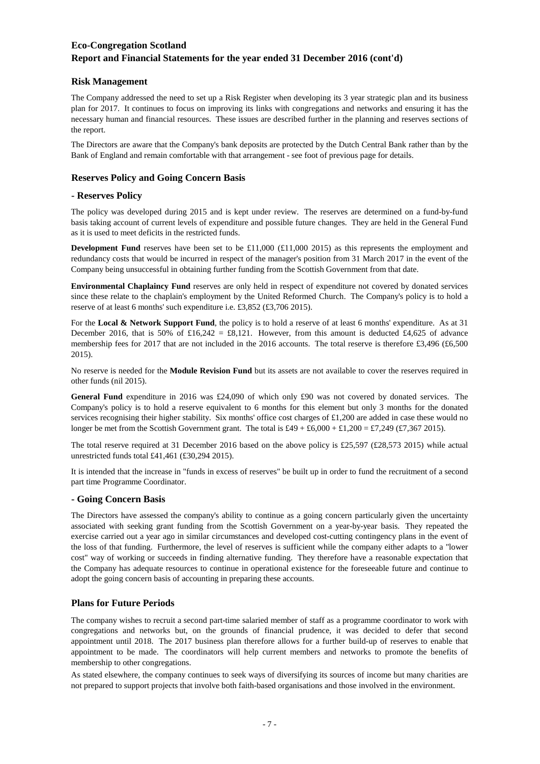#### **Risk Management**

The Company addressed the need to set up a Risk Register when developing its 3 year strategic plan and its business plan for 2017. It continues to focus on improving its links with congregations and networks and ensuring it has the necessary human and financial resources. These issues are described further in the planning and reserves sections of the report.

The Directors are aware that the Company's bank deposits are protected by the Dutch Central Bank rather than by the Bank of England and remain comfortable with that arrangement - see foot of previous page for details.

#### **Reserves Policy and Going Concern Basis**

#### **- Reserves Policy**

The policy was developed during 2015 and is kept under review. The reserves are determined on a fund-by-fund basis taking account of current levels of expenditure and possible future changes. They are held in the General Fund as it is used to meet deficits in the restricted funds.

**Development Fund** reserves have been set to be £11,000 (£11,000 2015) as this represents the employment and redundancy costs that would be incurred in respect of the manager's position from 31 March 2017 in the event of the Company being unsuccessful in obtaining further funding from the Scottish Government from that date.

**Environmental Chaplaincy Fund** reserves are only held in respect of expenditure not covered by donated services since these relate to the chaplain's employment by the United Reformed Church. The Company's policy is to hold a reserve of at least 6 months' such expenditure i.e. £3,852 (£3,706 2015).

For the **Local & Network Support Fund**, the policy is to hold a reserve of at least 6 months' expenditure. As at 31 December 2016, that is 50% of £16,242 = £8,121. However, from this amount is deducted £4,625 of advance membership fees for 2017 that are not included in the 2016 accounts. The total reserve is therefore £3,496 (£6,500) 2015).

No reserve is needed for the **Module Revision Fund** but its assets are not available to cover the reserves required in other funds (nil 2015).

**General Fund** expenditure in 2016 was £24,090 of which only £90 was not covered by donated services. The Company's policy is to hold a reserve equivalent to 6 months for this element but only 3 months for the donated services recognising their higher stability. Six months' office cost charges of £1,200 are added in case these would no longer be met from the Scottish Government grant. The total is  $£49 + £6,000 + £1,200 = £7,249 (£7,367 2015).$ 

The total reserve required at 31 December 2016 based on the above policy is £25,597 (£28,573 2015) while actual unrestricted funds total £41,461 (£30,294 2015).

It is intended that the increase in "funds in excess of reserves" be built up in order to fund the recruitment of a second part time Programme Coordinator.

#### **- Going Concern Basis**

The Directors have assessed the company's ability to continue as a going concern particularly given the uncertainty associated with seeking grant funding from the Scottish Government on a year-by-year basis. They repeated the exercise carried out a year ago in similar circumstances and developed cost-cutting contingency plans in the event of the loss of that funding. Furthermore, the level of reserves is sufficient while the company either adapts to a "lower cost" way of working or succeeds in finding alternative funding. They therefore have a reasonable expectation that the Company has adequate resources to continue in operational existence for the foreseeable future and continue to adopt the going concern basis of accounting in preparing these accounts.

#### **Plans for Future Periods**

The company wishes to recruit a second part-time salaried member of staff as a programme coordinator to work with congregations and networks but, on the grounds of financial prudence, it was decided to defer that second appointment until 2018. The 2017 business plan therefore allows for a further build-up of reserves to enable that appointment to be made. The coordinators will help current members and networks to promote the benefits of membership to other congregations.

As stated elsewhere, the company continues to seek ways of diversifying its sources of income but many charities are not prepared to support projects that involve both faith-based organisations and those involved in the environment.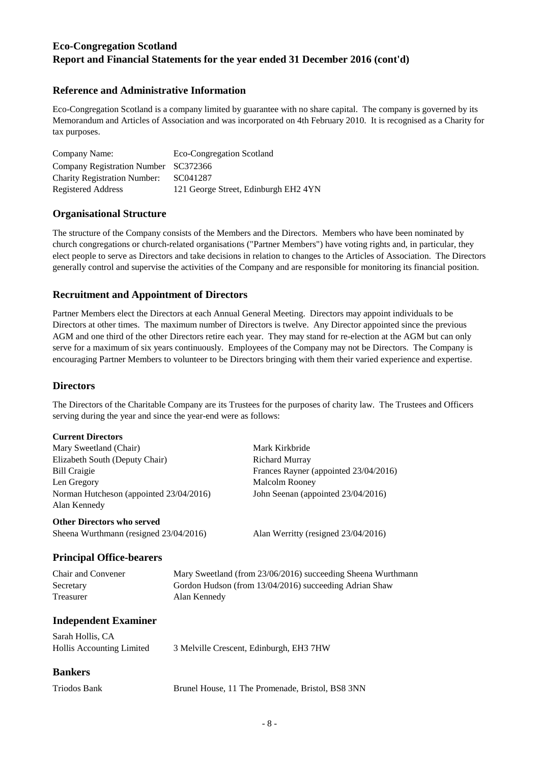### **Reference and Administrative Information**

Eco-Congregation Scotland is a company limited by guarantee with no share capital. The company is governed by its Memorandum and Articles of Association and was incorporated on 4th February 2010. It is recognised as a Charity for tax purposes.

| Company Name:                        | Eco-Congregation Scotland            |
|--------------------------------------|--------------------------------------|
| Company Registration Number SC372366 |                                      |
| <b>Charity Registration Number:</b>  | SC041287                             |
| Registered Address                   | 121 George Street, Edinburgh EH2 4YN |
|                                      |                                      |

### **Organisational Structure**

The structure of the Company consists of the Members and the Directors. Members who have been nominated by church congregations or church-related organisations ("Partner Members") have voting rights and, in particular, they elect people to serve as Directors and take decisions in relation to changes to the Articles of Association. The Directors generally control and supervise the activities of the Company and are responsible for monitoring its financial position.

### **Recruitment and Appointment of Directors**

Partner Members elect the Directors at each Annual General Meeting. Directors may appoint individuals to be Directors at other times. The maximum number of Directors is twelve. Any Director appointed since the previous AGM and one third of the other Directors retire each year. They may stand for re-election at the AGM but can only serve for a maximum of six years continuously. Employees of the Company may not be Directors. The Company is encouraging Partner Members to volunteer to be Directors bringing with them their varied experience and expertise.

#### **Directors**

The Directors of the Charitable Company are its Trustees for the purposes of charity law. The Trustees and Officers serving during the year and since the year-end were as follows:

#### **Current Directors**

| Mary Sweetland (Chair)                                  | Mark Kirkbride                        |
|---------------------------------------------------------|---------------------------------------|
| Elizabeth South (Deputy Chair)                          | <b>Richard Murray</b>                 |
| <b>Bill Craigie</b>                                     | Frances Rayner (appointed 23/04/2016) |
| Len Gregory                                             | <b>Malcolm Rooney</b>                 |
| Norman Hutcheson (appointed 23/04/2016)<br>Alan Kennedy | John Seenan (appointed 23/04/2016)    |
| <b>Other Directors who served</b>                       |                                       |
| Sheena Wurthmann (resigned 23/04/2016)                  | Alan Werritty (resigned 23/04/2016)   |

#### **Principal Office-bearers**

| Chair and Convener | Mary Sweetland (from 23/06/2016) succeeding Sheena Wurthmann |
|--------------------|--------------------------------------------------------------|
| Secretary          | Gordon Hudson (from 13/04/2016) succeeding Adrian Shaw       |
| Treasurer          | Alan Kennedy                                                 |

#### **Independent Examiner**

| Sarah Hollis, CA          |                                         |
|---------------------------|-----------------------------------------|
| Hollis Accounting Limited | 3 Melville Crescent, Edinburgh, EH3 7HW |

#### **Bankers**

| Triodos Bank | Brunel House, 11 The Promenade, Bristol, BS8 3NN |
|--------------|--------------------------------------------------|
|--------------|--------------------------------------------------|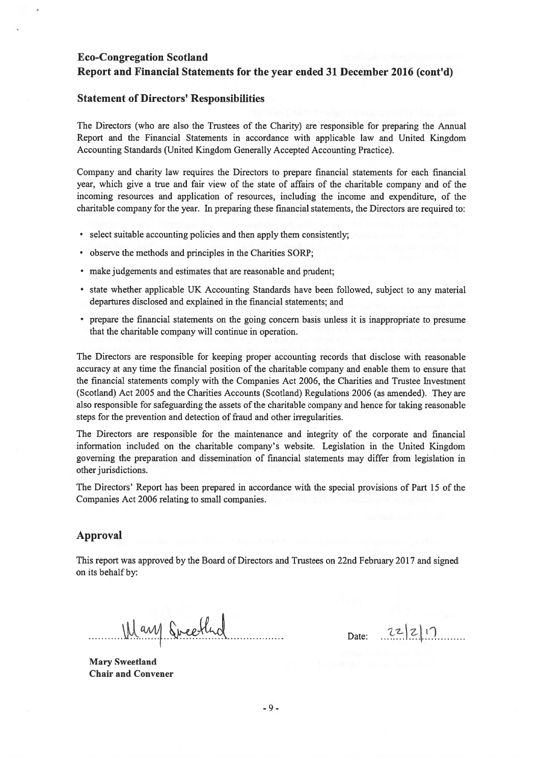#### Statement of Directors' Responsibilities

The Directors (who are also the Trustees of the Charity) are responsible for preparing the Annual Report and the Financial Statements in accordance with applicable law and United Kingdom Accounting Standards (United Kingdom Generally Accepted Accounting Practice).

Company and charity law requires the Directors to prepare financial statements for each financial year, which give <sup>a</sup> true and fair view of the state of affairs of the charitable company and of the incoming resources and application of resources, including the income and expenditure, of the charitable company for the year. In preparing these financial statements, the Directors are required to:

- select suitable accounting policies and then apply them consistently;
- observe the methods and principles in the Charities SORP;
- make judgements and estimates that are reasonable and prudent;
- state whether applicable UK Accounting Standards have been followed, subject to any material departures disclosed and explained in the financial statements; and
- prepare the financial statements on the going concern basis unless it is inappropriate to presume that the charitable company will continue in operation.

The Directors are responsible for keeping proper accounting records that disclose with reasonable accuracy at any time the financial position of the charitable company and enable them to ensure that the financial statements comply with the Companies Act 2006, the Charities and Trustee Investment (Scotland) Act 2005 and the Charities Accounts (Scotland) Regulations 2006 (as amended). They are also responsible for safeguarding the assets of the charitable company and hence for taking reasonable steps for the prevention and detection of fraud and other irregularities.

The Directors are responsible for the maintenance and integrity of the corporate and financial information included on the charitable company's website. Legislation in the United Kingdom governing the preparation and dissemination of financial statements may differ from legislation in other jurisdictions.

The Directors' Report has been prepared in accordance with the special provisions of Part 15 of the Companies Act 2006 relating to small companies.

#### Approval

This repor<sup>t</sup> was approved by the Board of Directors and Trustees on 22nd February 2017 and signed on its behalf by:

Mary Sweethd

Date:  $22|2|1$ 

Mary Sweetland Chair and Convener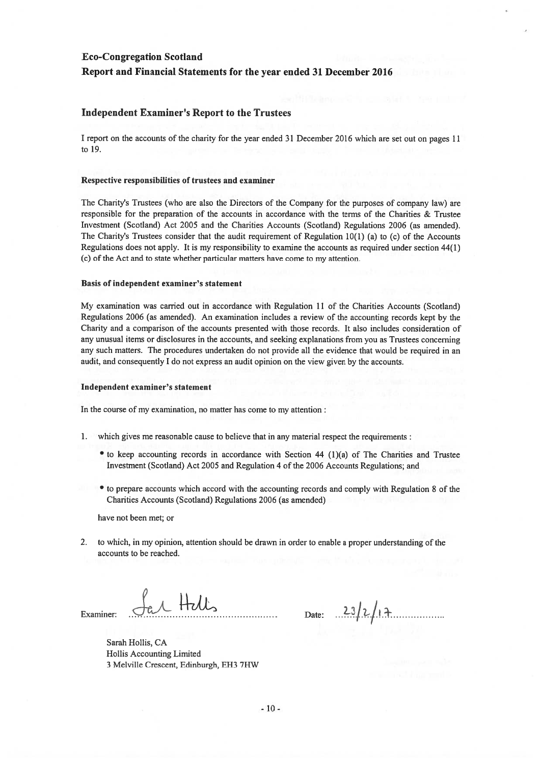#### Independent Examiner's Report to the Trustees

<sup>I</sup> repor<sup>t</sup> on the accounts of the charity for the year ended 31 December 2016 which are set out on pages 11 to 19.

#### Respective responsibilities of trustees and examiner

The Charity's Trustees (who are also the Directors of the Company for the purposes of company law) are responsible for the preparation of the accounts in accordance with the terms of the Charities & Trustee Investment (Scotland) Act 2005 and the Charities Accounts (Scotland) Regulations 2006 (as amended). The Charity's Trustees consider that the audit requirement of Regulation 10(1) (a) to (c) of the Accounts Regulations does not apply. It is my responsibility to examine the accounts as required under section 44(1) (c) of the Act and to state whether particular matters have come to my attention.

#### Basis of independent examiner's statement

My examination was carried out in accordance with Regulation 11 of the Charities Accounts (Scotland) Regulations 2006 (as amended). An examination includes <sup>a</sup> review of the accounting records kept by the Charity and <sup>a</sup> comparison of the accounts presented with those records. It also includes consideration of any unusual items or disclosures in the accounts, and seeking explanations from you as Trustees concerning any such matters. The procedures undertaken do not provide all the evidence that would be required in an audit, and consequently <sup>I</sup> do not express an audit opinion on the view given by the accounts.

#### Independent examiner's statement

In the course of my examination, no matter has come to my attention:

- 1. which gives me reasonable cause to believe that in any material respec<sup>t</sup> the requirements
	- to keep accounting records in accordance with Section 44 (1)(a) of The Charities and Trustee Investment (Scotland) Act 2005 and Regulation 4 of the 2006 Accounts Regulations; and
	- to prepare accounts which accord with the accounting records and comply with Regulation 8 of the Charities Accounts (Scotland) Regulations 2006 (as amended)

have not been met; or

2. to which, in my opinion, attention should be drawn in order to enable <sup>a</sup> proper understanding of the accounts to be reached.

Examiner:  $\frac{J_{\alpha\mu} H_{\alpha\mu}}{J_{\alpha\mu}}$  Hz $\mu$ , Date: 23/2/17

Sarah Hollis, CA Hollis Accounting Limited 3 Melville Crescent, Edinburgh, EH3 7HW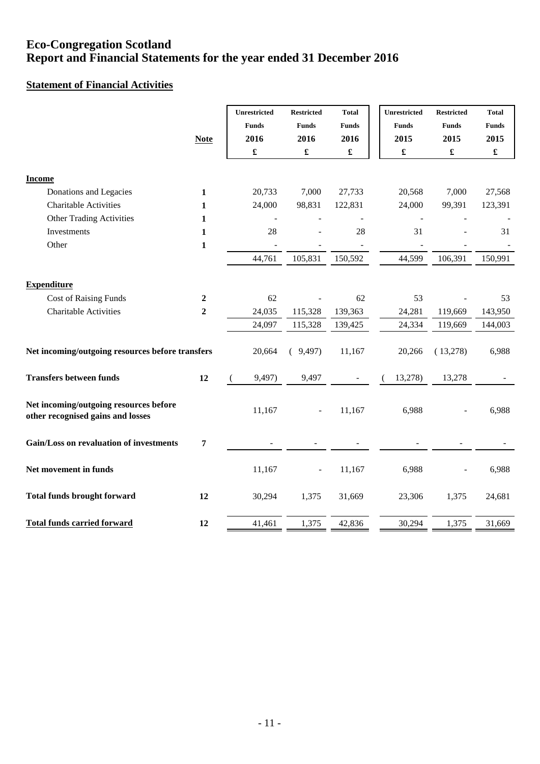## **Statement of Financial Activities**

|                                                                             |                  | Unrestricted | <b>Restricted</b>    | <b>Total</b>         | Unrestricted | <b>Restricted</b> | <b>Total</b>         |
|-----------------------------------------------------------------------------|------------------|--------------|----------------------|----------------------|--------------|-------------------|----------------------|
|                                                                             |                  | <b>Funds</b> | <b>Funds</b>         | <b>Funds</b>         | <b>Funds</b> | Funds             | <b>Funds</b>         |
|                                                                             | <b>Note</b>      | 2016         | 2016                 | 2016                 | 2015         | 2015              | 2015                 |
|                                                                             |                  | £            | $\pmb{\mathfrak{L}}$ | $\pmb{\mathfrak{L}}$ | £            | £                 | $\pmb{\mathfrak{L}}$ |
|                                                                             |                  |              |                      |                      |              |                   |                      |
| <b>Income</b>                                                               |                  |              |                      |                      |              |                   |                      |
| Donations and Legacies                                                      | $\mathbf{1}$     | 20,733       | 7,000                | 27,733               | 20,568       | 7,000             | 27,568               |
| <b>Charitable Activities</b>                                                | 1                | 24,000       | 98,831               | 122,831              | 24,000       | 99,391            | 123,391              |
| Other Trading Activities                                                    | 1                |              |                      |                      |              |                   |                      |
| Investments                                                                 | 1                | 28           |                      | 28                   | 31           |                   | 31                   |
| Other                                                                       | $\mathbf{1}$     |              |                      |                      |              |                   |                      |
|                                                                             |                  | 44,761       | 105,831              | 150,592              | 44,599       | 106,391           | 150,991              |
|                                                                             |                  |              |                      |                      |              |                   |                      |
| <b>Expenditure</b>                                                          |                  |              |                      |                      |              |                   |                      |
| <b>Cost of Raising Funds</b>                                                | $\boldsymbol{2}$ | 62           |                      | 62                   | 53           |                   | 53                   |
| <b>Charitable Activities</b>                                                | $\boldsymbol{2}$ | 24,035       | 115,328              | 139,363              | 24,281       | 119,669           | 143,950              |
|                                                                             |                  | 24,097       | 115,328              | 139,425              | 24,334       | 119,669           | 144,003              |
|                                                                             |                  |              |                      |                      |              |                   |                      |
| Net incoming/outgoing resources before transfers                            |                  | 20,664       | (9,497)              | 11,167               | 20,266       | (13,278)          | 6,988                |
| <b>Transfers between funds</b>                                              | 12               | 9,497)       | 9,497                |                      | 13,278)      | 13,278            |                      |
|                                                                             |                  |              |                      |                      |              |                   |                      |
| Net incoming/outgoing resources before<br>other recognised gains and losses |                  | 11,167       |                      | 11,167               | 6,988        |                   | 6,988                |
| <b>Gain/Loss on revaluation of investments</b>                              | 7                |              |                      |                      |              |                   |                      |
| Net movement in funds                                                       |                  | 11,167       |                      | 11,167               | 6,988        |                   | 6,988                |
| <b>Total funds brought forward</b>                                          | 12               | 30,294       | 1,375                | 31,669               | 23,306       | 1,375             | 24,681               |
| <b>Total funds carried forward</b>                                          | 12               | 41,461       | 1,375                | 42,836               | 30,294       | 1,375             | 31,669               |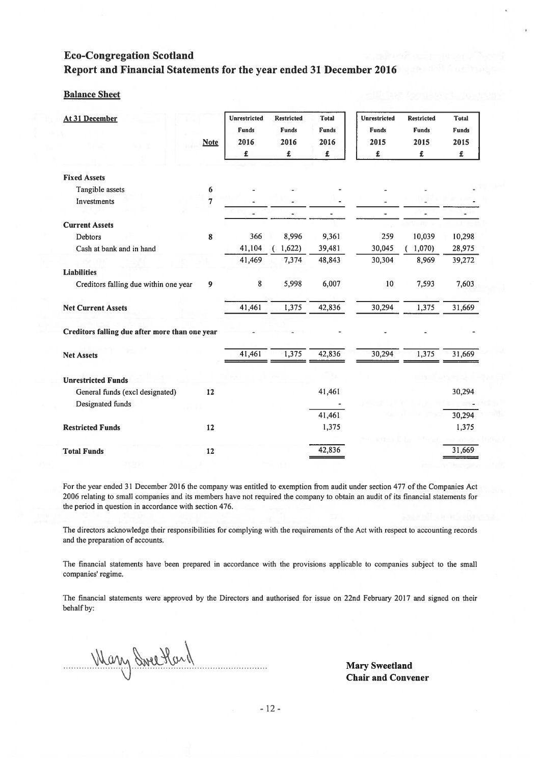#### Balance Sheet

| At 31 December                                      | <b>Note</b>    | Unrestricted<br><b>Funds</b><br>2016<br>£ | <b>Restricted</b><br>Funds<br>2016<br>£ | <b>Total</b><br><b>Funds</b><br>2016<br>£ | <b>Unrestricted</b><br><b>Funds</b><br>2015<br>£ | <b>Restricted</b><br><b>Funds</b><br>2015<br>£ | <b>Total</b><br><b>Funds</b><br>2015<br>£ |
|-----------------------------------------------------|----------------|-------------------------------------------|-----------------------------------------|-------------------------------------------|--------------------------------------------------|------------------------------------------------|-------------------------------------------|
| <b>Fixed Assets</b>                                 |                |                                           |                                         |                                           |                                                  |                                                |                                           |
| Tangible assets                                     | 6              |                                           |                                         |                                           |                                                  |                                                |                                           |
| Investments                                         | $\overline{7}$ |                                           |                                         |                                           |                                                  |                                                |                                           |
|                                                     |                | $\overline{\phantom{a}}$                  | $\qquad \qquad \blacksquare$            |                                           | -                                                |                                                |                                           |
| <b>Current Assets</b>                               |                |                                           |                                         |                                           |                                                  |                                                |                                           |
| <b>Debtors</b>                                      | 8              | 366                                       | 8,996                                   | 9,361                                     | 259                                              | 10,039                                         | 10,298                                    |
| Cash at bank and in hand                            |                | 41,104                                    | 1,622)                                  | 39,481                                    | 30,045                                           | 1,070                                          | 28,975                                    |
|                                                     |                | 41,469                                    | 7,374                                   | 48,843                                    | 30,304                                           | 8,969                                          | 39,272                                    |
| <b>Liabilities</b>                                  |                |                                           |                                         |                                           |                                                  |                                                |                                           |
| Creditors falling due within one year               | 9              | 8                                         | 5,998                                   | 6,007                                     | 10                                               | 7,593                                          | 7,603                                     |
| <b>Net Current Assets</b>                           |                | 41,461                                    | 1,375                                   | 42,836                                    | 30,294                                           | 1,375                                          | 31,669                                    |
| Creditors falling due after more than one year      |                |                                           |                                         |                                           |                                                  |                                                |                                           |
| <b>Net Assets</b>                                   |                | 41,461                                    | 1,375                                   | 42,836                                    | 30,294                                           | 1,375                                          | 31,669                                    |
| <b>Unrestricted Funds</b>                           |                |                                           |                                         |                                           |                                                  |                                                |                                           |
| General funds (excl designated)<br>Designated funds | 12             |                                           |                                         | 41,461                                    |                                                  |                                                | 30,294                                    |
|                                                     |                |                                           |                                         | 41,461                                    |                                                  |                                                | 30,294                                    |
| <b>Restricted Funds</b>                             | 12             |                                           |                                         | 1,375                                     |                                                  |                                                | 1,375                                     |
| <b>Total Funds</b>                                  | 12             |                                           |                                         | 42,836                                    |                                                  |                                                | 31,669                                    |

For the year ended 31 December 2016 the company was entitled to exemption from audit under section 477 of the Companies Act 2006 relating to small companies and its members have not required the company to obtain an audit of its financial statements for the period in question in accordance with section 476.

The directors acknowledge their responsibilities for complying with the requirements of the Act with respec<sup>t</sup> to accounting records and the preparation of accounts.

The financial statements have been prepared in accordance with the provisions applicable to companies subject to the small companies' regime.

The financial statements were approved by the Directors and authorised for issue on 22nd February 2017 and signed on their behalf by:

Wary Sweetland

Mary Sweetland Chair and Convener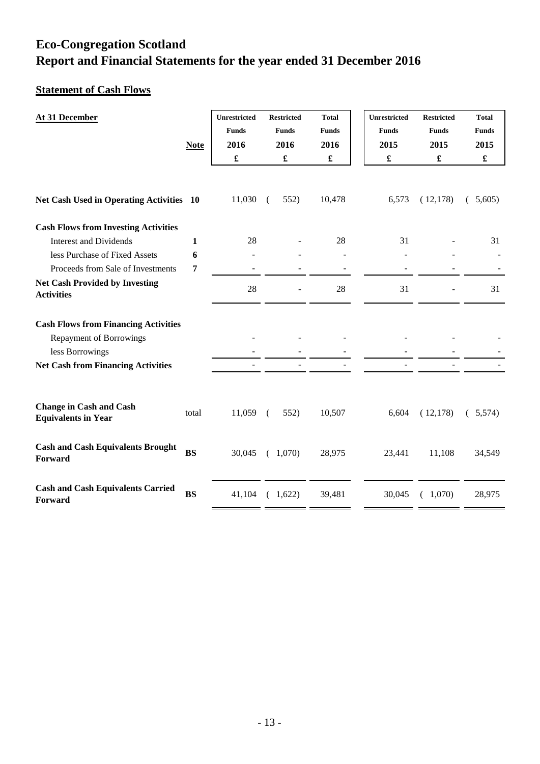## **Statement of Cash Flows**

| <b>At 31 December</b>                                        | <b>Note</b> | <b>Unrestricted</b><br><b>Funds</b><br>2016<br>£ | <b>Restricted</b><br><b>Funds</b><br>2016<br>$\pmb{\mathfrak{L}}$ | <b>Total</b><br><b>Funds</b><br>2016<br>$\pmb{\mathfrak{L}}$ | <b>Unrestricted</b><br><b>Funds</b><br>2015<br>$\pmb{\mathfrak{L}}$ | <b>Restricted</b><br><b>Funds</b><br>2015<br>$\pmb{\mathfrak{L}}$ | <b>Total</b><br><b>Funds</b><br>2015<br>$\pmb{\mathfrak{L}}$ |
|--------------------------------------------------------------|-------------|--------------------------------------------------|-------------------------------------------------------------------|--------------------------------------------------------------|---------------------------------------------------------------------|-------------------------------------------------------------------|--------------------------------------------------------------|
| Net Cash Used in Operating Activities 10                     |             | 11,030                                           | 552)<br>(                                                         | 10,478                                                       | 6,573                                                               | (12,178)                                                          | (5,605)                                                      |
| <b>Cash Flows from Investing Activities</b>                  |             |                                                  |                                                                   |                                                              |                                                                     |                                                                   |                                                              |
| <b>Interest and Dividends</b>                                | 1           | 28                                               |                                                                   | 28                                                           | 31                                                                  |                                                                   | 31                                                           |
| less Purchase of Fixed Assets                                | 6           |                                                  |                                                                   |                                                              |                                                                     |                                                                   |                                                              |
| Proceeds from Sale of Investments                            | 7           |                                                  |                                                                   |                                                              |                                                                     |                                                                   |                                                              |
| <b>Net Cash Provided by Investing</b><br><b>Activities</b>   |             | 28                                               |                                                                   | 28                                                           | 31                                                                  |                                                                   | 31                                                           |
| <b>Cash Flows from Financing Activities</b>                  |             |                                                  |                                                                   |                                                              |                                                                     |                                                                   |                                                              |
| <b>Repayment of Borrowings</b>                               |             |                                                  |                                                                   |                                                              |                                                                     |                                                                   |                                                              |
| less Borrowings                                              |             |                                                  |                                                                   |                                                              |                                                                     |                                                                   |                                                              |
| <b>Net Cash from Financing Activities</b>                    |             |                                                  |                                                                   |                                                              |                                                                     |                                                                   |                                                              |
| <b>Change in Cash and Cash</b><br><b>Equivalents in Year</b> | total       | 11,059                                           | 552)<br>$\left($                                                  | 10,507                                                       | 6,604                                                               | (12,178)                                                          | (5,574)                                                      |
| <b>Cash and Cash Equivalents Brought</b><br>Forward          | <b>BS</b>   | 30,045                                           | (1,070)                                                           | 28,975                                                       | 23,441                                                              | 11,108                                                            | 34,549                                                       |
| <b>Cash and Cash Equivalents Carried</b><br>Forward          | <b>BS</b>   | 41,104                                           | (1,622)                                                           | 39,481                                                       | 30,045                                                              | (1,070)                                                           | 28,975                                                       |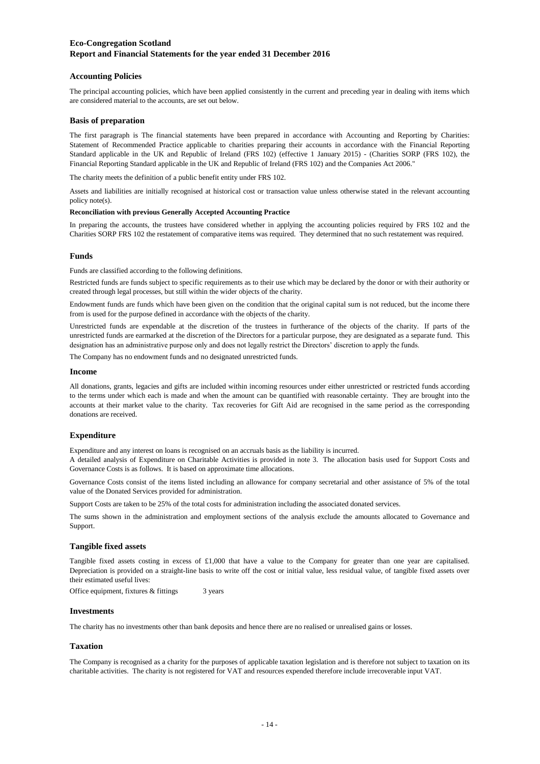#### **Accounting Policies**

The principal accounting policies, which have been applied consistently in the current and preceding year in dealing with items which are considered material to the accounts, are set out below.

#### **Basis of preparation**

The first paragraph is The financial statements have been prepared in accordance with Accounting and Reporting by Charities: Statement of Recommended Practice applicable to charities preparing their accounts in accordance with the Financial Reporting Standard applicable in the UK and Republic of Ireland (FRS 102) (effective 1 January 2015) - (Charities SORP (FRS 102), the Financial Reporting Standard applicable in the UK and Republic of Ireland (FRS 102) and the Companies Act 2006."

The charity meets the definition of a public benefit entity under FRS 102.

Assets and liabilities are initially recognised at historical cost or transaction value unless otherwise stated in the relevant accounting policy note(s).

#### **Reconciliation with previous Generally Accepted Accounting Practice**

In preparing the accounts, the trustees have considered whether in applying the accounting policies required by FRS 102 and the Charities SORP FRS 102 the restatement of comparative items was required. They determined that no such restatement was required.

#### **Funds**

Funds are classified according to the following definitions.

Restricted funds are funds subject to specific requirements as to their use which may be declared by the donor or with their authority or created through legal processes, but still within the wider objects of the charity.

Endowment funds are funds which have been given on the condition that the original capital sum is not reduced, but the income there from is used for the purpose defined in accordance with the objects of the charity.

Unrestricted funds are expendable at the discretion of the trustees in furtherance of the objects of the charity. If parts of the unrestricted funds are earmarked at the discretion of the Directors for a particular purpose, they are designated as a separate fund. This designation has an administrative purpose only and does not legally restrict the Directors' discretion to apply the funds.

The Company has no endowment funds and no designated unrestricted funds.

#### **Income**

All donations, grants, legacies and gifts are included within incoming resources under either unrestricted or restricted funds according to the terms under which each is made and when the amount can be quantified with reasonable certainty. They are brought into the accounts at their market value to the charity. Tax recoveries for Gift Aid are recognised in the same period as the corresponding donations are received.

#### **Expenditure**

Expenditure and any interest on loans is recognised on an accruals basis as the liability is incurred.

A detailed analysis of Expenditure on Charitable Activities is provided in note 3. The allocation basis used for Support Costs and Governance Costs is as follows. It is based on approximate time allocations.

Governance Costs consist of the items listed including an allowance for company secretarial and other assistance of 5% of the total value of the Donated Services provided for administration.

Support Costs are taken to be 25% of the total costs for administration including the associated donated services.

The sums shown in the administration and employment sections of the analysis exclude the amounts allocated to Governance and Support.

#### **Tangible fixed assets**

Tangible fixed assets costing in excess of £1,000 that have a value to the Company for greater than one year are capitalised. Depreciation is provided on a straight-line basis to write off the cost or initial value, less residual value, of tangible fixed assets over their estimated useful lives:

3 years Office equipment, fixtures & fittings

#### **Investments**

The charity has no investments other than bank deposits and hence there are no realised or unrealised gains or losses.

#### **Taxation**

The Company is recognised as a charity for the purposes of applicable taxation legislation and is therefore not subject to taxation on its charitable activities. The charity is not registered for VAT and resources expended therefore include irrecoverable input VAT.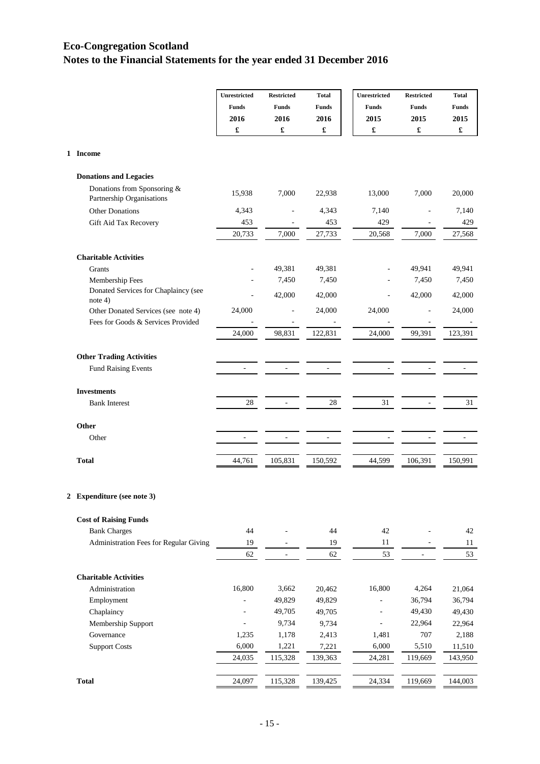|                                                          | Unrestricted             | <b>Restricted</b>        | <b>Total</b> | Unrestricted   | <b>Restricted</b>    | <b>Total</b>         |
|----------------------------------------------------------|--------------------------|--------------------------|--------------|----------------|----------------------|----------------------|
|                                                          | <b>Funds</b>             | <b>Funds</b>             | <b>Funds</b> | <b>Funds</b>   | <b>Funds</b>         | <b>Funds</b>         |
|                                                          | 2016                     | 2016                     | 2016         | 2015           | 2015                 | 2015                 |
|                                                          | $\pmb{\mathfrak{L}}$     | $\pmb{\mathfrak{L}}$     | £            | £              | $\pmb{\mathfrak{L}}$ | $\pmb{\mathfrak{L}}$ |
|                                                          |                          |                          |              |                |                      |                      |
| 1 Income                                                 |                          |                          |              |                |                      |                      |
| <b>Donations and Legacies</b>                            |                          |                          |              |                |                      |                      |
| Donations from Sponsoring &<br>Partnership Organisations | 15,938                   | 7,000                    | 22,938       | 13,000         | 7,000                | 20,000               |
| <b>Other Donations</b>                                   | 4,343                    | ÷,                       | 4,343        | 7,140          |                      | 7,140                |
| Gift Aid Tax Recovery                                    | 453                      |                          | 453          | 429            |                      | 429                  |
|                                                          | 20,733                   | 7,000                    | 27,733       | 20,568         | 7,000                | 27,568               |
| <b>Charitable Activities</b>                             |                          |                          |              |                |                      |                      |
| Grants                                                   |                          | 49,381                   | 49,381       |                | 49,941               | 49,941               |
| Membership Fees                                          |                          | 7,450                    | 7,450        |                | 7,450                | 7,450                |
| Donated Services for Chaplaincy (see<br>note $4)$        |                          | 42,000                   | 42,000       |                | 42,000               | 42,000               |
| Other Donated Services (see note 4)                      | 24,000                   |                          | 24,000       | 24,000         |                      | 24,000               |
| Fees for Goods & Services Provided                       |                          |                          |              |                |                      |                      |
|                                                          | 24,000                   | 98,831                   | 122,831      | 24,000         | 99,391               | 123,391              |
| <b>Other Trading Activities</b>                          |                          |                          |              |                |                      |                      |
| <b>Fund Raising Events</b>                               | $\overline{\phantom{a}}$ | $\overline{\phantom{a}}$ | ÷            | $\overline{a}$ |                      |                      |
| <b>Investments</b>                                       |                          |                          |              |                |                      |                      |
| <b>Bank Interest</b>                                     | 28                       |                          | 28           | 31             |                      | 31                   |
| Other                                                    |                          |                          |              |                |                      |                      |
| Other                                                    | ÷                        | ÷,                       | ÷,           |                |                      | ä,                   |
|                                                          |                          |                          |              |                |                      |                      |
| <b>Total</b>                                             | 44,761                   | 105,831                  | 150,592      | 44,599         | 106,391              | 150,991              |
| 2 Expenditure (see note 3)                               |                          |                          |              |                |                      |                      |
|                                                          |                          |                          |              |                |                      |                      |
| <b>Cost of Raising Funds</b><br><b>Bank Charges</b>      | 44                       |                          | 44           | 42             |                      | 42                   |
| Administration Fees for Regular Giving                   |                          |                          |              | 11             |                      |                      |
|                                                          | 19<br>62                 | $\overline{\phantom{a}}$ | 19<br>62     | 53             |                      | 11<br>53             |
| <b>Charitable Activities</b>                             |                          |                          |              |                |                      |                      |
| Administration                                           | 16,800                   | 3,662                    | 20,462       | 16,800         | 4,264                | 21,064               |
| Employment                                               | ÷,                       | 49,829                   | 49,829       | ÷,             | 36,794               | 36,794               |
| Chaplaincy                                               | ÷                        | 49,705                   | 49,705       | ÷,             | 49,430               | 49,430               |

**Total**

Membership Support 19,734 9,734 - 22,964 22,964 Governance 2,188 1,235 1,178 2,413 1,481 707 2,188 Support Costs 6,000 1,221 7,221 6,000 5,510 11,510

24,035 115,328 139,363 24,281 119,669 143,950

24,097 115,328 139,425 24,334 119,669 144,003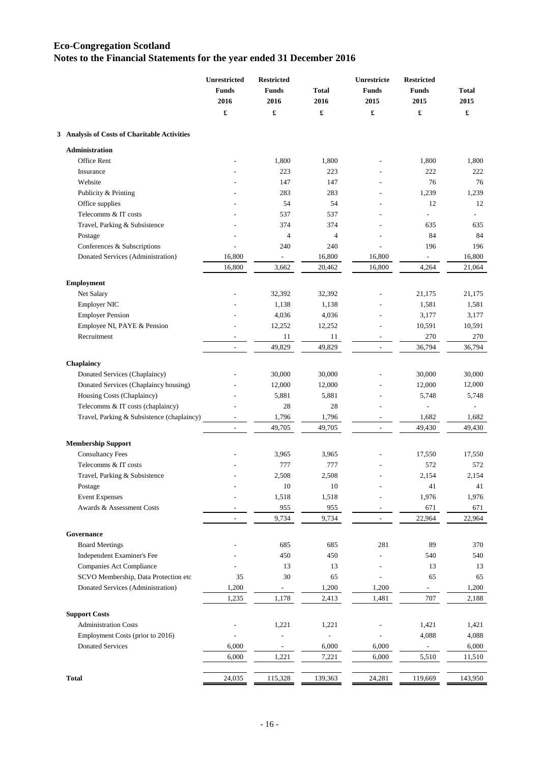|                                                     | Unrestricted<br><b>Funds</b><br>2016<br>$\pmb{\mathfrak{L}}$ | <b>Restricted</b><br><b>Funds</b><br>2016<br>£ | <b>Total</b><br>2016<br>£ | Unrestricte<br><b>Funds</b><br>2015<br>£ | <b>Restricted</b><br><b>Funds</b><br>2015<br>£ | <b>Total</b><br>2015<br>£ |
|-----------------------------------------------------|--------------------------------------------------------------|------------------------------------------------|---------------------------|------------------------------------------|------------------------------------------------|---------------------------|
|                                                     |                                                              |                                                |                           |                                          |                                                |                           |
| 3 Analysis of Costs of Charitable Activities        |                                                              |                                                |                           |                                          |                                                |                           |
| <b>Administration</b>                               |                                                              |                                                |                           |                                          |                                                |                           |
| Office Rent                                         |                                                              | 1,800                                          | 1,800                     |                                          | 1,800                                          | 1,800                     |
| Insurance                                           |                                                              | 223                                            | 223                       |                                          | 222                                            | 222                       |
| Website                                             |                                                              | 147                                            | 147                       |                                          | 76                                             | 76                        |
| Publicity & Printing                                |                                                              | 283                                            | 283                       |                                          | 1,239                                          | 1,239                     |
| Office supplies                                     |                                                              | 54                                             | 54                        |                                          | 12                                             | 12                        |
| Telecomms & IT costs                                |                                                              | 537                                            | 537                       |                                          | $\frac{1}{2}$                                  | $\overline{\phantom{a}}$  |
| Travel, Parking & Subsistence                       |                                                              | 374                                            | 374                       |                                          | 635                                            | 635                       |
| Postage                                             |                                                              | 4                                              | 4                         |                                          | 84                                             | 84                        |
| Conferences & Subscriptions                         |                                                              | 240                                            | 240                       |                                          | 196                                            | 196                       |
| Donated Services (Administration)                   | 16,800                                                       | $\overline{\phantom{a}}$                       | 16,800                    | 16,800                                   | $\overline{\phantom{a}}$                       | 16,800                    |
|                                                     | 16,800                                                       | 3,662                                          | 20,462                    | 16,800                                   | 4,264                                          | 21,064                    |
| <b>Employment</b>                                   |                                                              |                                                |                           |                                          |                                                |                           |
| Net Salary                                          |                                                              | 32,392                                         | 32,392                    |                                          | 21,175                                         | 21,175                    |
| <b>Employer NIC</b>                                 |                                                              | 1,138                                          | 1,138                     |                                          | 1,581                                          | 1,581                     |
| <b>Employer Pension</b>                             |                                                              | 4,036                                          | 4,036                     |                                          | 3,177                                          | 3,177                     |
| Employee NI, PAYE & Pension                         |                                                              | 12,252                                         | 12,252                    |                                          | 10,591                                         | 10,591                    |
| Recruitment                                         | $\overline{a}$                                               | 11                                             | 11                        | $\overline{a}$                           | 270                                            | 270                       |
|                                                     | $\frac{1}{2}$                                                | 49,829                                         | 49,829                    | $\frac{1}{2}$                            | 36,794                                         | 36,794                    |
| Chaplaincy                                          |                                                              |                                                |                           |                                          |                                                |                           |
| Donated Services (Chaplaincy)                       |                                                              | 30,000                                         | 30,000                    |                                          | 30,000                                         | 30,000                    |
| Donated Services (Chaplaincy housing)               |                                                              | 12,000                                         | 12,000                    |                                          | 12,000                                         | 12,000                    |
| Housing Costs (Chaplaincy)                          |                                                              | 5,881                                          | 5,881                     |                                          | 5,748                                          | 5,748                     |
| Telecomms & IT costs (chaplaincy)                   |                                                              | 28                                             | 28                        |                                          | ÷,                                             |                           |
| Travel, Parking & Subsistence (chaplaincy)          |                                                              | 1,796                                          | 1,796                     |                                          | 1,682                                          | 1,682                     |
|                                                     | $\overline{a}$                                               | 49,705                                         | 49,705                    | $\overline{a}$                           | 49,430                                         | 49,430                    |
| <b>Membership Support</b>                           |                                                              |                                                |                           |                                          |                                                |                           |
| <b>Consultancy Fees</b>                             |                                                              | 3,965                                          | 3,965                     |                                          | 17,550                                         | 17,550                    |
| Telecomms & IT costs                                |                                                              | 777                                            | 777                       |                                          | 572                                            | 572                       |
| Travel, Parking & Subsistence                       |                                                              | 2,508                                          | 2,508                     |                                          | 2,154                                          | 2,154                     |
| Postage                                             |                                                              | $10\,$                                         | 10                        |                                          | 41                                             | 41                        |
| <b>Event Expenses</b>                               |                                                              | 1,518                                          | 1,518                     |                                          | 1,976                                          | 1,976                     |
| Awards & Assessment Costs                           |                                                              | 955                                            | 955                       |                                          | 671                                            | 671                       |
|                                                     | $\overline{\phantom{a}}$                                     | 9,734                                          | 9,734                     | $\overline{\phantom{a}}$                 | 22,964                                         | 22,964                    |
|                                                     |                                                              |                                                |                           |                                          |                                                |                           |
| Governance                                          |                                                              |                                                |                           |                                          |                                                |                           |
| <b>Board Meetings</b><br>Independent Examiner's Fee |                                                              | 685<br>450                                     | 685<br>450                | 281                                      | 89<br>540                                      | 370<br>540                |
| Companies Act Compliance                            |                                                              | 13                                             | 13                        |                                          | 13                                             | 13                        |
| SCVO Membership, Data Protection etc                | 35                                                           | 30                                             | 65                        |                                          | 65                                             | 65                        |
| Donated Services (Administration)                   | 1,200                                                        | $\overline{\phantom{m}}$                       | 1,200                     | 1,200                                    | $\overline{\phantom{a}}$                       | 1,200                     |
|                                                     | 1,235                                                        | 1,178                                          | 2,413                     | 1,481                                    | 707                                            | 2,188                     |
|                                                     |                                                              |                                                |                           |                                          |                                                |                           |
| <b>Support Costs</b>                                |                                                              |                                                |                           |                                          |                                                |                           |
| <b>Administration Costs</b>                         | $\overline{a}$                                               | 1,221                                          | 1,221                     |                                          | 1,421                                          | 1,421                     |
| Employment Costs (prior to 2016)                    | $\overline{a}$                                               | $\overline{a}$                                 | $\overline{a}$            |                                          | 4,088                                          | 4,088                     |
| <b>Donated Services</b>                             | 6,000                                                        | $\overline{\phantom{a}}$                       | 6,000                     | 6,000                                    | $\sim$                                         | 6,000                     |
|                                                     | 6,000                                                        | 1,221                                          | 7,221                     | 6,000                                    | 5,510                                          | 11,510                    |
| Total                                               | 24,035                                                       | 115,328                                        | 139,363                   | 24,281                                   | 119,669                                        | 143,950                   |
|                                                     |                                                              |                                                |                           |                                          |                                                |                           |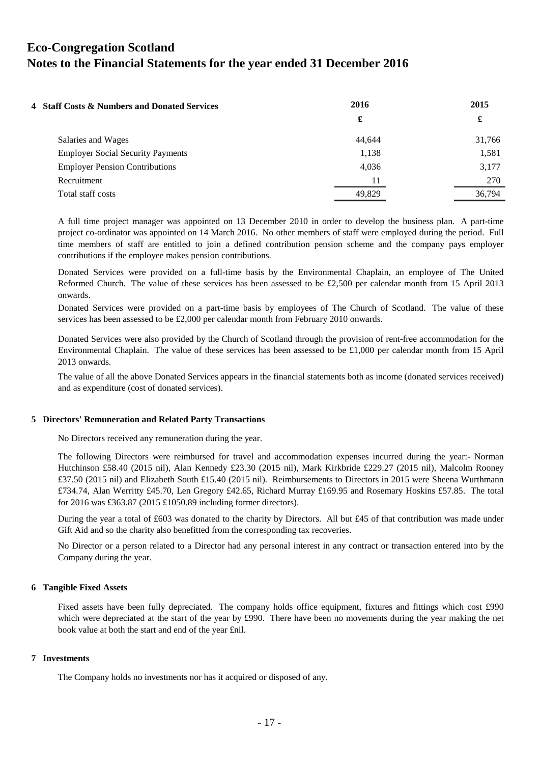| 4 Staff Costs & Numbers and Donated Services | 2016   | 2015   |  |
|----------------------------------------------|--------|--------|--|
|                                              | £      | £      |  |
| Salaries and Wages                           | 44.644 | 31,766 |  |
| <b>Employer Social Security Payments</b>     | 1,138  | 1,581  |  |
| <b>Employer Pension Contributions</b>        | 4,036  | 3,177  |  |
| Recruitment                                  | 11     | 270    |  |
| Total staff costs                            | 49.829 | 36.794 |  |

A full time project manager was appointed on 13 December 2010 in order to develop the business plan. A part-time project co-ordinator was appointed on 14 March 2016. No other members of staff were employed during the period. Full time members of staff are entitled to join a defined contribution pension scheme and the company pays employer contributions if the employee makes pension contributions.

Donated Services were provided on a full-time basis by the Environmental Chaplain, an employee of The United Reformed Church. The value of these services has been assessed to be £2,500 per calendar month from 15 April 2013 onwards.

Donated Services were provided on a part-time basis by employees of The Church of Scotland. The value of these services has been assessed to be £2,000 per calendar month from February 2010 onwards.

Donated Services were also provided by the Church of Scotland through the provision of rent-free accommodation for the Environmental Chaplain. The value of these services has been assessed to be £1,000 per calendar month from 15 April 2013 onwards.

The value of all the above Donated Services appears in the financial statements both as income (donated services received) and as expenditure (cost of donated services).

#### **5 Directors' Remuneration and Related Party Transactions**

No Directors received any remuneration during the year.

The following Directors were reimbursed for travel and accommodation expenses incurred during the year:- Norman Hutchinson £58.40 (2015 nil), Alan Kennedy £23.30 (2015 nil), Mark Kirkbride £229.27 (2015 nil), Malcolm Rooney £37.50 (2015 nil) and Elizabeth South £15.40 (2015 nil). Reimbursements to Directors in 2015 were Sheena Wurthmann £734.74, Alan Werritty £45.70, Len Gregory £42.65, Richard Murray £169.95 and Rosemary Hoskins £57.85. The total for 2016 was £363.87 (2015 £1050.89 including former directors).

During the year a total of £603 was donated to the charity by Directors. All but £45 of that contribution was made under Gift Aid and so the charity also benefitted from the corresponding tax recoveries.

No Director or a person related to a Director had any personal interest in any contract or transaction entered into by the Company during the year.

#### **6 Tangible Fixed Assets**

Fixed assets have been fully depreciated. The company holds office equipment, fixtures and fittings which cost £990 which were depreciated at the start of the year by £990. There have been no movements during the year making the net book value at both the start and end of the year £nil.

#### **7 Investments**

The Company holds no investments nor has it acquired or disposed of any.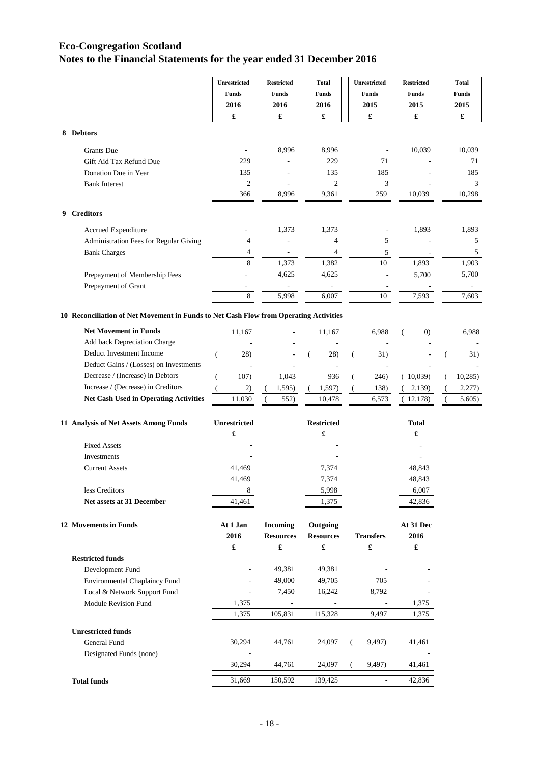|    |                                                                                       | Unrestricted<br><b>Funds</b><br>2016 | <b>Restricted</b><br><b>Funds</b><br>2016 | <b>Total</b><br>Funds<br>2016 | Unrestricted<br><b>Funds</b><br>2015 | <b>Restricted</b><br><b>Funds</b><br>2015 | <b>Total</b><br>Funds<br>2015 |
|----|---------------------------------------------------------------------------------------|--------------------------------------|-------------------------------------------|-------------------------------|--------------------------------------|-------------------------------------------|-------------------------------|
|    |                                                                                       |                                      |                                           |                               |                                      |                                           |                               |
|    |                                                                                       |                                      |                                           |                               |                                      |                                           |                               |
|    |                                                                                       | £                                    | £                                         | £                             | £                                    | £                                         | $\pmb{\mathfrak{L}}$          |
|    | 8 Debtors                                                                             |                                      |                                           |                               |                                      |                                           |                               |
|    | <b>Grants</b> Due                                                                     | ÷,                                   | 8,996                                     | 8,996                         |                                      | 10,039                                    | 10,039                        |
|    | Gift Aid Tax Refund Due                                                               | 229                                  |                                           | 229                           | 71                                   |                                           | 71                            |
|    | Donation Due in Year                                                                  | 135                                  |                                           | 135                           | 185                                  |                                           | 185                           |
|    | <b>Bank Interest</b>                                                                  | $\overline{c}$                       |                                           | 2                             | 3                                    |                                           | $\ensuremath{\mathfrak{Z}}$   |
|    |                                                                                       | 366                                  | 8,996                                     | 9,361                         | 259                                  | 10,039                                    | 10,298                        |
| 9. | <b>Creditors</b>                                                                      |                                      |                                           |                               |                                      |                                           |                               |
|    | Accrued Expenditure                                                                   |                                      | 1,373                                     | 1,373                         |                                      | 1,893                                     | 1,893                         |
|    | Administration Fees for Regular Giving                                                | 4                                    |                                           | 4                             | 5                                    |                                           | 5                             |
|    | <b>Bank Charges</b>                                                                   | $\overline{4}$                       |                                           | 4                             | 5                                    |                                           | 5                             |
|    |                                                                                       | 8                                    | 1,373                                     | 1,382                         | $10\,$                               | 1,893                                     | 1,903                         |
|    | Prepayment of Membership Fees                                                         |                                      | 4,625                                     | 4,625                         |                                      | 5,700                                     | 5,700                         |
|    | Prepayment of Grant                                                                   |                                      |                                           | $\blacksquare$                |                                      |                                           |                               |
|    |                                                                                       | 8                                    | 5,998                                     | 6,007                         | 10                                   | 7,593                                     | 7,603                         |
|    | 10 Reconciliation of Net Movement in Funds to Net Cash Flow from Operating Activities |                                      |                                           |                               |                                      |                                           |                               |
|    | <b>Net Movement in Funds</b>                                                          | 11,167                               |                                           | 11,167                        | 6,988                                | $\left( 0\right)$                         | 6,988                         |
|    | Add back Depreciation Charge                                                          |                                      |                                           |                               |                                      |                                           |                               |
|    | Deduct Investment Income                                                              | 28)<br>(                             |                                           | 28)<br>$\overline{(\ }$       | 31)<br>$\overline{(\ }$              |                                           | $\overline{(\ }$<br>31)       |
|    | Deduct Gains / (Losses) on Investments                                                |                                      |                                           |                               |                                      |                                           |                               |
|    | Decrease / (Increase) in Debtors                                                      | 107)                                 | 1,043                                     | 936                           | 246)<br>(                            | (10,039)                                  | 10,285<br>(                   |
|    | Increase / (Decrease) in Creditors                                                    | 2)                                   | 1,595)                                    | 1,597)                        | 138)                                 | 2,139)                                    | 2,277)                        |
|    | <b>Net Cash Used in Operating Activities</b>                                          | 11,030                               | 552)                                      | 10,478                        | 6,573                                | (12,178)                                  | 5,605)                        |
|    | 11 Analysis of Net Assets Among Funds                                                 | Unrestricted                         |                                           | <b>Restricted</b>             |                                      | Total                                     |                               |
|    |                                                                                       | £                                    |                                           | £                             |                                      | £                                         |                               |
|    | <b>Fixed Assets</b>                                                                   |                                      |                                           |                               |                                      |                                           |                               |
|    | Investments                                                                           |                                      |                                           |                               |                                      | $\overline{a}$                            |                               |
|    | <b>Current Assets</b>                                                                 | 41,469                               |                                           | 7,374                         |                                      | 48,843                                    |                               |
|    |                                                                                       | 41,469                               |                                           | 7,374                         |                                      | 48,843                                    |                               |
|    | less Creditors                                                                        | $\,8\,$                              |                                           | 5,998                         |                                      | 6,007                                     |                               |
|    | Net assets at 31 December                                                             | 41,461                               |                                           | 1,375                         |                                      | 42,836                                    |                               |
|    | 12 Movements in Funds                                                                 | At 1 Jan                             | <b>Incoming</b>                           | Outgoing                      |                                      | At 31 Dec                                 |                               |
|    |                                                                                       | 2016                                 | <b>Resources</b>                          | <b>Resources</b>              | <b>Transfers</b>                     | 2016                                      |                               |
|    |                                                                                       | £                                    | £                                         | £                             | £                                    | £                                         |                               |
|    | <b>Restricted funds</b>                                                               |                                      |                                           |                               |                                      |                                           |                               |
|    | Development Fund                                                                      |                                      | 49,381                                    | 49,381                        |                                      |                                           |                               |
|    | <b>Environmental Chaplaincy Fund</b>                                                  |                                      | 49,000                                    | 49,705                        | 705                                  |                                           |                               |
|    | Local & Network Support Fund                                                          |                                      | 7,450                                     | 16,242                        | 8,792                                |                                           |                               |
|    | Module Revision Fund                                                                  | 1,375                                | $\overline{\phantom{a}}$                  |                               |                                      | 1,375                                     |                               |
|    |                                                                                       | 1,375                                | 105,831                                   | 115,328                       | 9,497                                | 1,375                                     |                               |
|    | <b>Unrestricted funds</b>                                                             |                                      |                                           |                               |                                      |                                           |                               |
|    | General Fund                                                                          | 30,294                               | 44,761                                    | 24,097                        | 9,497)<br>(                          | 41,461                                    |                               |
|    | Designated Funds (none)                                                               |                                      |                                           |                               |                                      |                                           |                               |
|    |                                                                                       | 30,294                               | 44,761                                    | 24,097                        | 9,497)                               | 41,461                                    |                               |
|    | <b>Total funds</b>                                                                    | 31,669                               | 150,592                                   | 139,425                       |                                      | 42,836                                    |                               |
|    |                                                                                       |                                      |                                           |                               |                                      |                                           |                               |